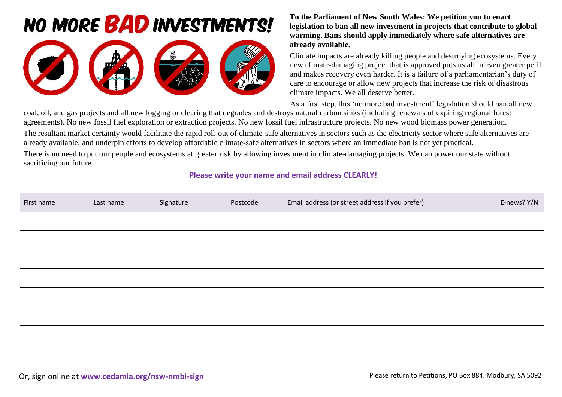## **NO MORE BAD INVESTMENTS!**



## **To the Parliament of New South Wales: We petition you to enact legislation to ban all new investment in projects that contribute to global warming. Bans should apply immediately where safe alternatives are already available.**

Climate impacts are already killing people and destroying ecosystems. Every new climate-damaging project that is approved puts us all in even greater peril and makes recovery even harder. It is a failure of a parliamentarian's duty of care to encourage or allow new projects that increase the risk of disastrous climate impacts. We all deserve better.

As a first step, this 'no more bad investment' legislation should ban all new

coal, oil, and gas projects and all new logging or clearing that degrades and destroys natural carbon sinks (including renewals of expiring regional forest agreements). No new fossil fuel exploration or extraction projects. No new fossil fuel infrastructure projects. No new wood biomass power generation. The resultant market certainty would facilitate the rapid roll-out of climate-safe alternatives in sectors such as the electricity sector where safe alternatives are already available, and underpin efforts to develop affordable climate-safe alternatives in sectors where an immediate ban is not yet practical.

There is no need to put our people and ecosystems at greater risk by allowing investment in climate-damaging projects. We can power our state without sacrificing our future.

## **Please write your name and email address CLEARLY!**

| First name | Last name | Signature | Postcode | Email address (or street address if you prefer) | E-news? Y/N |
|------------|-----------|-----------|----------|-------------------------------------------------|-------------|
|            |           |           |          |                                                 |             |
|            |           |           |          |                                                 |             |
|            |           |           |          |                                                 |             |
|            |           |           |          |                                                 |             |
|            |           |           |          |                                                 |             |
|            |           |           |          |                                                 |             |
|            |           |           |          |                                                 |             |
|            |           |           |          |                                                 |             |